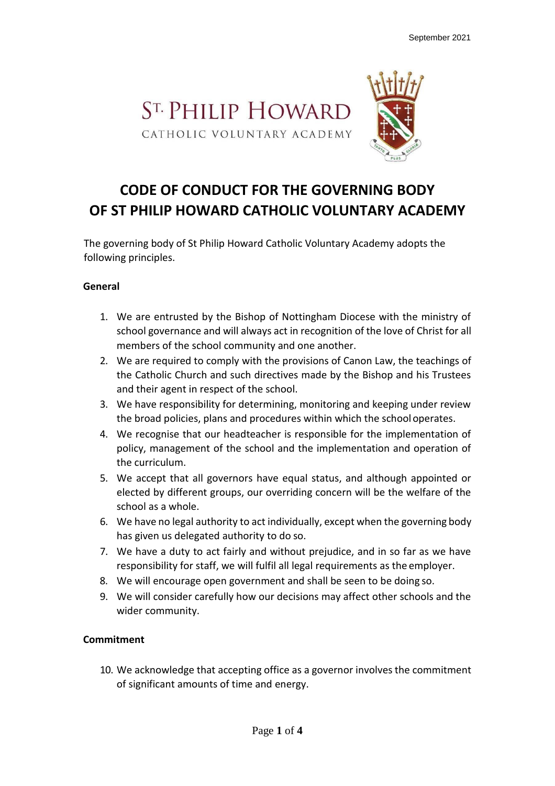

# **CODE OF CONDUCT FOR THE GOVERNING BODY OF ST PHILIP HOWARD CATHOLIC VOLUNTARY ACADEMY**

The governing body of St Philip Howard Catholic Voluntary Academy adopts the following principles.

#### **General**

- 1. We are entrusted by the Bishop of Nottingham Diocese with the ministry of school governance and will always act in recognition of the love of Christ for all members of the school community and one another.
- 2. We are required to comply with the provisions of Canon Law, the teachings of the Catholic Church and such directives made by the Bishop and his Trustees and their agent in respect of the school.
- 3. We have responsibility for determining, monitoring and keeping under review the broad policies, plans and procedures within which the schooloperates.
- 4. We recognise that our headteacher is responsible for the implementation of policy, management of the school and the implementation and operation of the curriculum.
- 5. We accept that all governors have equal status, and although appointed or elected by different groups, our overriding concern will be the welfare of the school as a whole.
- 6. We have no legal authority to act individually, except when the governing body has given us delegated authority to do so.
- 7. We have a duty to act fairly and without prejudice, and in so far as we have responsibility for staff, we will fulfil all legal requirements as the employer.
- 8. We will encourage open government and shall be seen to be doing so.
- 9. We will consider carefully how our decisions may affect other schools and the wider community.

## **Commitment**

10. We acknowledge that accepting office as a governor involvesthe commitment of significant amounts of time and energy.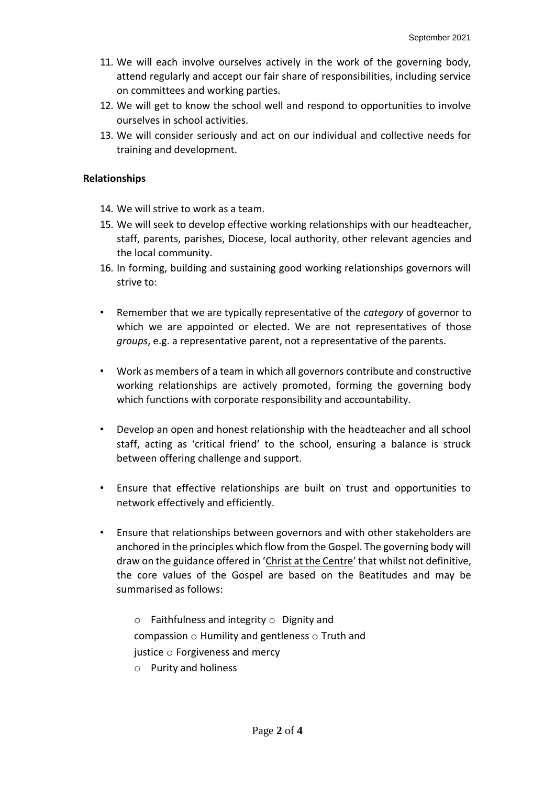- 11. We will each involve ourselves actively in the work of the governing body, attend regularly and accept our fair share of responsibilities, including service on committees and working parties.
- 12. We will get to know the school well and respond to opportunities to involve ourselves in school activities.
- 13. We will consider seriously and act on our individual and collective needs for training and development.

## **Relationships**

- 14. We will strive to work as a team.
- 15. We will seek to develop effective working relationships with our headteacher, staff, parents, parishes, Diocese, local authority, other relevant agencies and the local community.
- 16. In forming, building and sustaining good working relationships governors will strive to:
- Remember that we are typically representative of the *category* of governor to which we are appointed or elected. We are not representatives of those *groups*, e.g. a representative parent, not a representative of the parents.
- Work as members of a team in which all governors contribute and constructive working relationships are actively promoted, forming the governing body which functions with corporate responsibility and accountability.
- Develop an open and honest relationship with the headteacher and all school staff, acting as 'critical friend' to the school, ensuring a balance is struck between offering challenge and support.
- Ensure that effective relationships are built on trust and opportunities to network effectively and efficiently.
- Ensure that relationships between governors and with other stakeholders are anchored in the principles which flow from the Gospel. The governing body will draw on the guidance offered in 'Christ at the Centre' that whilst not definitive, the core values of the Gospel are based on the Beatitudes and may be summarised as follows:
	- $\circ$  Faithfulness and integrity  $\circ$  Dignity and compassion o Humility and gentleness o Truth and justice o Forgiveness and mercy
	- o Purity and holiness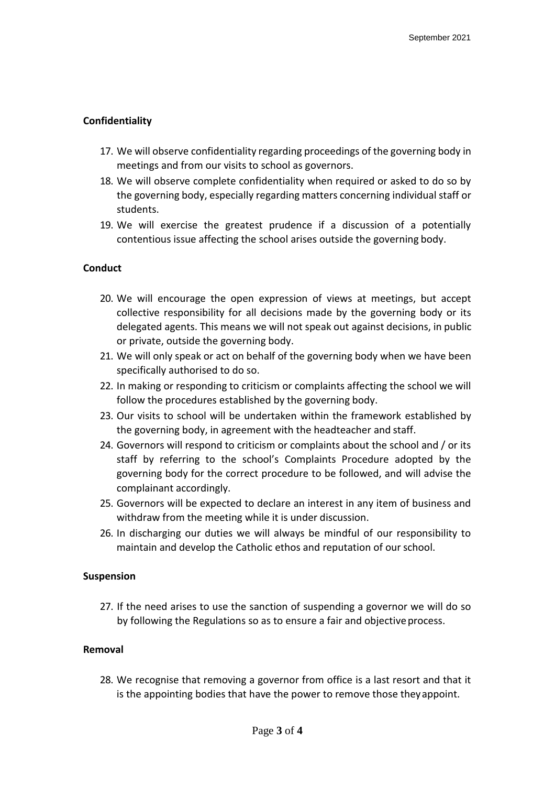## **Confidentiality**

- 17. We will observe confidentiality regarding proceedings of the governing body in meetings and from our visits to school as governors.
- 18. We will observe complete confidentiality when required or asked to do so by the governing body, especially regarding matters concerning individual staff or students.
- 19. We will exercise the greatest prudence if a discussion of a potentially contentious issue affecting the school arises outside the governing body.

## **Conduct**

- 20. We will encourage the open expression of views at meetings, but accept collective responsibility for all decisions made by the governing body or its delegated agents. This means we will not speak out against decisions, in public or private, outside the governing body.
- 21. We will only speak or act on behalf of the governing body when we have been specifically authorised to do so.
- 22. In making or responding to criticism or complaints affecting the school we will follow the procedures established by the governing body.
- 23. Our visits to school will be undertaken within the framework established by the governing body, in agreement with the headteacher and staff.
- 24. Governors will respond to criticism or complaints about the school and / or its staff by referring to the school's Complaints Procedure adopted by the governing body for the correct procedure to be followed, and will advise the complainant accordingly.
- 25. Governors will be expected to declare an interest in any item of business and withdraw from the meeting while it is under discussion.
- 26. In discharging our duties we will always be mindful of our responsibility to maintain and develop the Catholic ethos and reputation of our school.

## **Suspension**

27. If the need arises to use the sanction of suspending a governor we will do so by following the Regulations so as to ensure a fair and objective process.

## **Removal**

28. We recognise that removing a governor from office is a last resort and that it is the appointing bodies that have the power to remove those theyappoint.